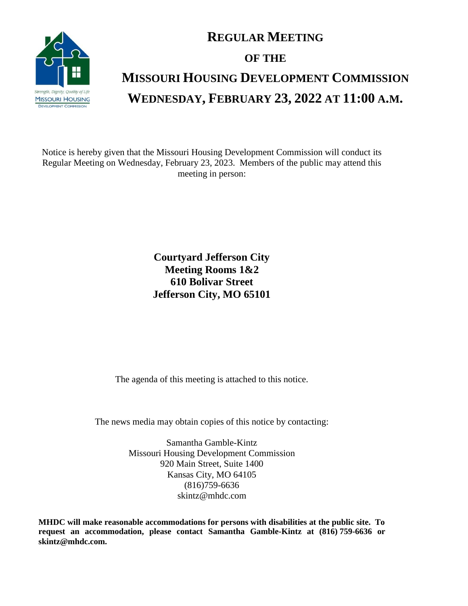

# **REGULAR MEETING OF THE MISSOURI HOUSING DEVELOPMENT COMMISSION WEDNESDAY, FEBRUARY 23, 2022 AT 11:00 A.M.**

Notice is hereby given that the Missouri Housing Development Commission will conduct its Regular Meeting on Wednesday, February 23, 2023. Members of the public may attend this meeting in person:

## **Courtyard Jefferson City Meeting Rooms 1&2 610 Bolivar Street Jefferson City, MO 65101**

The agenda of this meeting is attached to this notice.

The news media may obtain copies of this notice by contacting:

Samantha Gamble-Kintz Missouri Housing Development Commission 920 Main Street, Suite 1400 Kansas City, MO 64105 (816)759-6636 skintz@mhdc.com

**MHDC will make reasonable accommodations for persons with disabilities at the public site. To request an accommodation, please contact Samantha Gamble-Kintz at (816) 759-6636 or skintz@mhdc.com.**